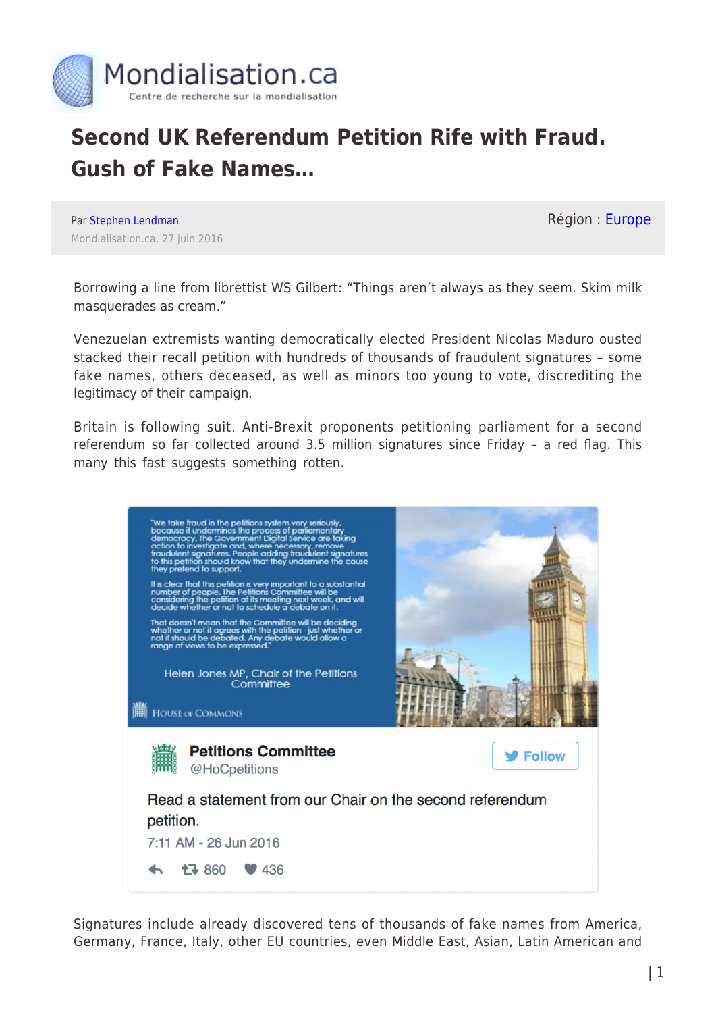

## **Second UK Referendum Petition Rife with Fraud. Gush of Fake Names…**

Par [Stephen Lendman](https://www.mondialisation.ca/author/stephen-lendman) Mondialisation.ca, 27 juin 2016 Région : [Europe](https://www.mondialisation.ca/region/europe)

Borrowing a line from librettist WS Gilbert: "Things aren't always as they seem. Skim milk masquerades as cream."

Venezuelan extremists wanting democratically elected President Nicolas Maduro ousted stacked their recall petition with hundreds of thousands of fraudulent signatures – some fake names, others deceased, as well as minors too young to vote, discrediting the legitimacy of their campaign.

Britain is following suit. Anti-Brexit proponents petitioning parliament for a second referendum so far collected around 3.5 million signatures since Friday – a red flag. This many this fast suggests something rotten.



Signatures include already discovered tens of thousands of fake names from America, Germany, France, Italy, other EU countries, even Middle East, Asian, Latin American and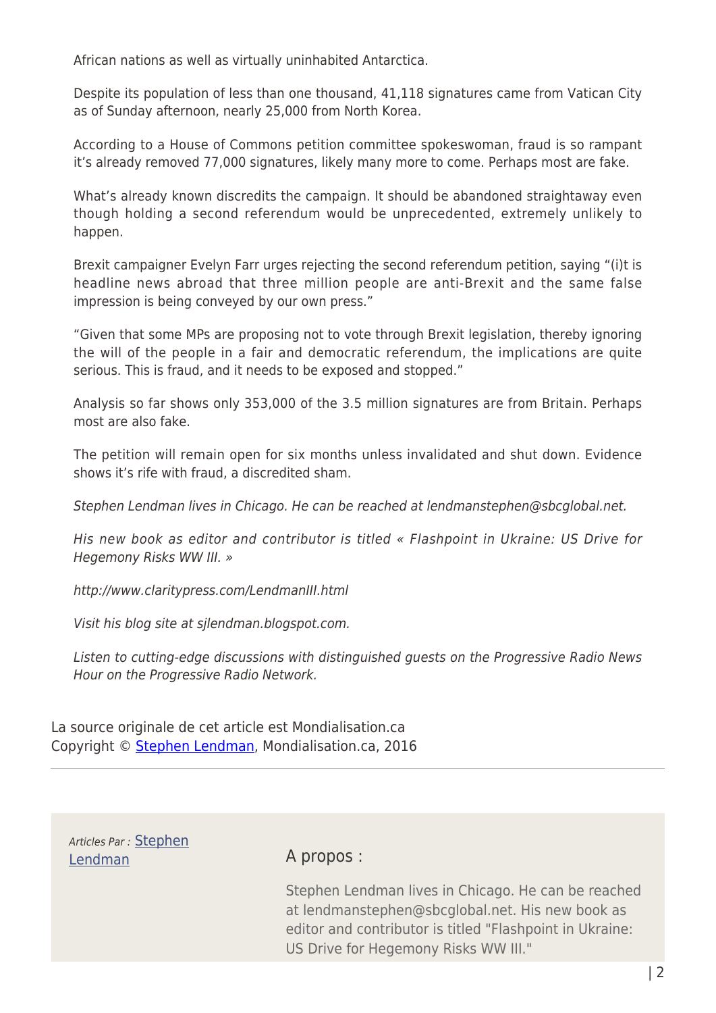African nations as well as virtually uninhabited Antarctica.

Despite its population of less than one thousand, 41,118 signatures came from Vatican City as of Sunday afternoon, nearly 25,000 from North Korea.

According to a House of Commons petition committee spokeswoman, fraud is so rampant it's already removed 77,000 signatures, likely many more to come. Perhaps most are fake.

What's already known discredits the campaign. It should be abandoned straightaway even though holding a second referendum would be unprecedented, extremely unlikely to happen.

Brexit campaigner Evelyn Farr urges rejecting the second referendum petition, saying "(i)t is headline news abroad that three million people are anti-Brexit and the same false impression is being conveyed by our own press."

"Given that some MPs are proposing not to vote through Brexit legislation, thereby ignoring the will of the people in a fair and democratic referendum, the implications are quite serious. This is fraud, and it needs to be exposed and stopped."

Analysis so far shows only 353,000 of the 3.5 million signatures are from Britain. Perhaps most are also fake.

The petition will remain open for six months unless invalidated and shut down. Evidence shows it's rife with fraud, a discredited sham.

Stephen Lendman lives in Chicago. He can be reached at lendmanstephen@sbcglobal.net.

His new book as editor and contributor is titled « Flashpoint in Ukraine: US Drive for Hegemony Risks WW III. »

http://www.claritypress.com/LendmanIII.html

Visit his blog site at sjlendman.blogspot.com.

Listen to cutting-edge discussions with distinguished guests on the Progressive Radio News Hour on the Progressive Radio Network.

La source originale de cet article est Mondialisation.ca Copyright © [Stephen Lendman,](https://www.mondialisation.ca/author/stephen-lendman) Mondialisation.ca, 2016

Articles Par : [Stephen](https://www.mondialisation.ca/author/stephen-lendman) [Lendman](https://www.mondialisation.ca/author/stephen-lendman) A propos :

Stephen Lendman lives in Chicago. He can be reached at lendmanstephen@sbcglobal.net. His new book as editor and contributor is titled "Flashpoint in Ukraine: US Drive for Hegemony Risks WW III."